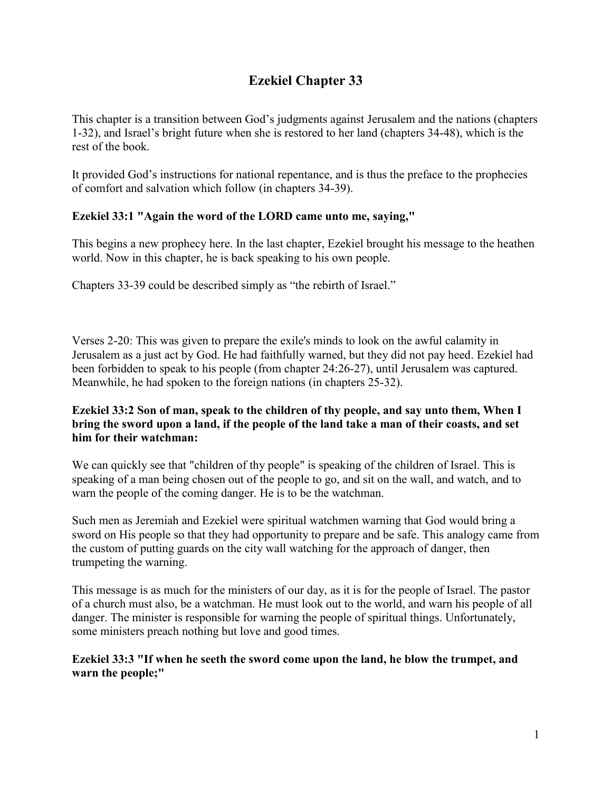# **Ezekiel Chapter 33**

This chapter is a transition between God's judgments against Jerusalem and the nations (chapters 1-32), and Israel's bright future when she is restored to her land (chapters 34-48), which is the rest of the book.

It provided God's instructions for national repentance, and is thus the preface to the prophecies of comfort and salvation which follow (in chapters 34-39).

## **Ezekiel 33:1 "Again the word of the LORD came unto me, saying,"**

This begins a new prophecy here. In the last chapter, Ezekiel brought his message to the heathen world. Now in this chapter, he is back speaking to his own people.

Chapters 33-39 could be described simply as "the rebirth of Israel."

Verses 2-20: This was given to prepare the exile's minds to look on the awful calamity in Jerusalem as a just act by God. He had faithfully warned, but they did not pay heed. Ezekiel had been forbidden to speak to his people (from chapter 24:26-27), until Jerusalem was captured. Meanwhile, he had spoken to the foreign nations (in chapters 25-32).

## **Ezekiel 33:2 Son of man, speak to the children of thy people, and say unto them, When I bring the sword upon a land, if the people of the land take a man of their coasts, and set him for their watchman:**

We can quickly see that "children of thy people" is speaking of the children of Israel. This is speaking of a man being chosen out of the people to go, and sit on the wall, and watch, and to warn the people of the coming danger. He is to be the watchman.

Such men as Jeremiah and Ezekiel were spiritual watchmen warning that God would bring a sword on His people so that they had opportunity to prepare and be safe. This analogy came from the custom of putting guards on the city wall watching for the approach of danger, then trumpeting the warning.

This message is as much for the ministers of our day, as it is for the people of Israel. The pastor of a church must also, be a watchman. He must look out to the world, and warn his people of all danger. The minister is responsible for warning the people of spiritual things. Unfortunately, some ministers preach nothing but love and good times.

## **Ezekiel 33:3 "If when he seeth the sword come upon the land, he blow the trumpet, and warn the people;"**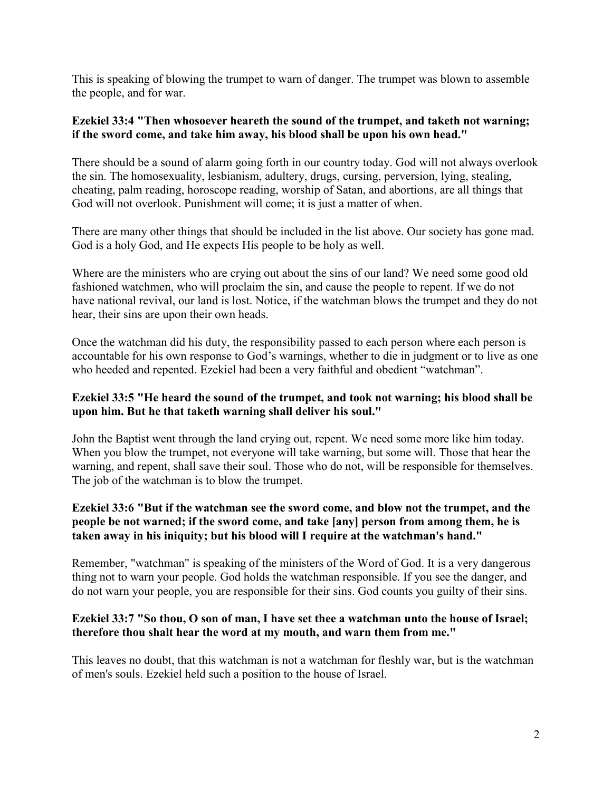This is speaking of blowing the trumpet to warn of danger. The trumpet was blown to assemble the people, and for war.

#### **Ezekiel 33:4 "Then whosoever heareth the sound of the trumpet, and taketh not warning; if the sword come, and take him away, his blood shall be upon his own head."**

There should be a sound of alarm going forth in our country today. God will not always overlook the sin. The homosexuality, lesbianism, adultery, drugs, cursing, perversion, lying, stealing, cheating, palm reading, horoscope reading, worship of Satan, and abortions, are all things that God will not overlook. Punishment will come; it is just a matter of when.

There are many other things that should be included in the list above. Our society has gone mad. God is a holy God, and He expects His people to be holy as well.

Where are the ministers who are crying out about the sins of our land? We need some good old fashioned watchmen, who will proclaim the sin, and cause the people to repent. If we do not have national revival, our land is lost. Notice, if the watchman blows the trumpet and they do not hear, their sins are upon their own heads.

Once the watchman did his duty, the responsibility passed to each person where each person is accountable for his own response to God's warnings, whether to die in judgment or to live as one who heeded and repented. Ezekiel had been a very faithful and obedient "watchman".

## **Ezekiel 33:5 "He heard the sound of the trumpet, and took not warning; his blood shall be upon him. But he that taketh warning shall deliver his soul."**

John the Baptist went through the land crying out, repent. We need some more like him today. When you blow the trumpet, not everyone will take warning, but some will. Those that hear the warning, and repent, shall save their soul. Those who do not, will be responsible for themselves. The job of the watchman is to blow the trumpet.

## **Ezekiel 33:6 "But if the watchman see the sword come, and blow not the trumpet, and the people be not warned; if the sword come, and take [any] person from among them, he is taken away in his iniquity; but his blood will I require at the watchman's hand."**

Remember, "watchman" is speaking of the ministers of the Word of God. It is a very dangerous thing not to warn your people. God holds the watchman responsible. If you see the danger, and do not warn your people, you are responsible for their sins. God counts you guilty of their sins.

## **Ezekiel 33:7 "So thou, O son of man, I have set thee a watchman unto the house of Israel; therefore thou shalt hear the word at my mouth, and warn them from me."**

This leaves no doubt, that this watchman is not a watchman for fleshly war, but is the watchman of men's souls. Ezekiel held such a position to the house of Israel.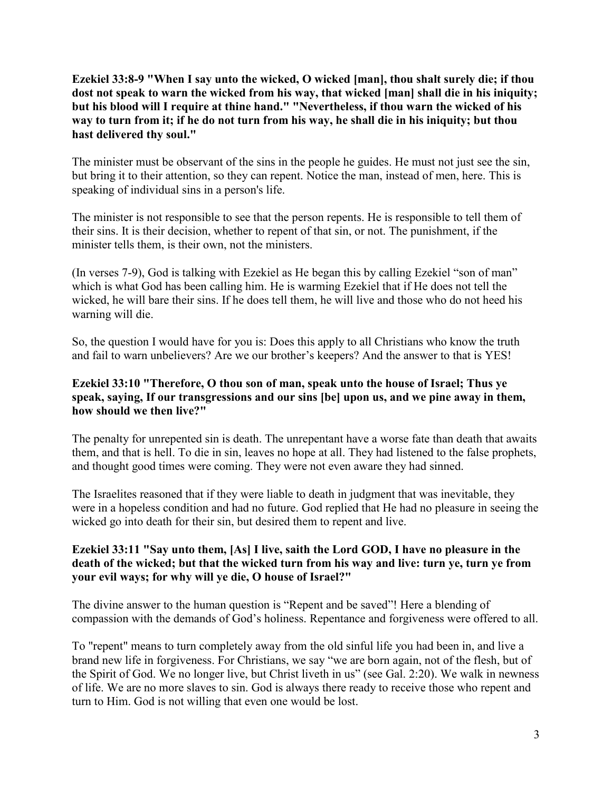**Ezekiel 33:8-9 "When I say unto the wicked, O wicked [man], thou shalt surely die; if thou dost not speak to warn the wicked from his way, that wicked [man] shall die in his iniquity; but his blood will I require at thine hand." "Nevertheless, if thou warn the wicked of his way to turn from it; if he do not turn from his way, he shall die in his iniquity; but thou hast delivered thy soul."**

The minister must be observant of the sins in the people he guides. He must not just see the sin, but bring it to their attention, so they can repent. Notice the man, instead of men, here. This is speaking of individual sins in a person's life.

The minister is not responsible to see that the person repents. He is responsible to tell them of their sins. It is their decision, whether to repent of that sin, or not. The punishment, if the minister tells them, is their own, not the ministers.

(In verses 7-9), God is talking with Ezekiel as He began this by calling Ezekiel "son of man" which is what God has been calling him. He is warming Ezekiel that if He does not tell the wicked, he will bare their sins. If he does tell them, he will live and those who do not heed his warning will die.

So, the question I would have for you is: Does this apply to all Christians who know the truth and fail to warn unbelievers? Are we our brother's keepers? And the answer to that is YES!

## **Ezekiel 33:10 "Therefore, O thou son of man, speak unto the house of Israel; Thus ye speak, saying, If our transgressions and our sins [be] upon us, and we pine away in them, how should we then live?"**

The penalty for unrepented sin is death. The unrepentant have a worse fate than death that awaits them, and that is hell. To die in sin, leaves no hope at all. They had listened to the false prophets, and thought good times were coming. They were not even aware they had sinned.

The Israelites reasoned that if they were liable to death in judgment that was inevitable, they were in a hopeless condition and had no future. God replied that He had no pleasure in seeing the wicked go into death for their sin, but desired them to repent and live.

## **Ezekiel 33:11 "Say unto them, [As] I live, saith the Lord GOD, I have no pleasure in the death of the wicked; but that the wicked turn from his way and live: turn ye, turn ye from your evil ways; for why will ye die, O house of Israel?"**

The divine answer to the human question is "Repent and be saved"! Here a blending of compassion with the demands of God's holiness. Repentance and forgiveness were offered to all.

To "repent" means to turn completely away from the old sinful life you had been in, and live a brand new life in forgiveness. For Christians, we say "we are born again, not of the flesh, but of the Spirit of God. We no longer live, but Christ liveth in us" (see Gal. 2:20). We walk in newness of life. We are no more slaves to sin. God is always there ready to receive those who repent and turn to Him. God is not willing that even one would be lost.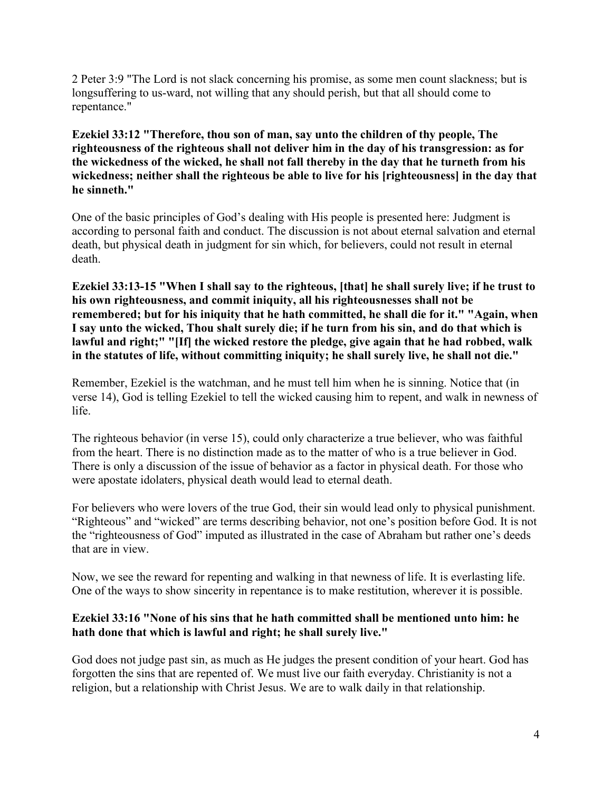2 Peter 3:9 "The Lord is not slack concerning his promise, as some men count slackness; but is longsuffering to us-ward, not willing that any should perish, but that all should come to repentance."

**Ezekiel 33:12 "Therefore, thou son of man, say unto the children of thy people, The righteousness of the righteous shall not deliver him in the day of his transgression: as for the wickedness of the wicked, he shall not fall thereby in the day that he turneth from his wickedness; neither shall the righteous be able to live for his [righteousness] in the day that he sinneth."**

One of the basic principles of God's dealing with His people is presented here: Judgment is according to personal faith and conduct. The discussion is not about eternal salvation and eternal death, but physical death in judgment for sin which, for believers, could not result in eternal death.

**Ezekiel 33:13-15 "When I shall say to the righteous, [that] he shall surely live; if he trust to his own righteousness, and commit iniquity, all his righteousnesses shall not be remembered; but for his iniquity that he hath committed, he shall die for it." "Again, when I say unto the wicked, Thou shalt surely die; if he turn from his sin, and do that which is lawful and right;" "[If] the wicked restore the pledge, give again that he had robbed, walk in the statutes of life, without committing iniquity; he shall surely live, he shall not die."**

Remember, Ezekiel is the watchman, and he must tell him when he is sinning. Notice that (in verse 14), God is telling Ezekiel to tell the wicked causing him to repent, and walk in newness of life.

The righteous behavior (in verse 15), could only characterize a true believer, who was faithful from the heart. There is no distinction made as to the matter of who is a true believer in God. There is only a discussion of the issue of behavior as a factor in physical death. For those who were apostate idolaters, physical death would lead to eternal death.

For believers who were lovers of the true God, their sin would lead only to physical punishment. "Righteous" and "wicked" are terms describing behavior, not one's position before God. It is not the "righteousness of God" imputed as illustrated in the case of Abraham but rather one's deeds that are in view.

Now, we see the reward for repenting and walking in that newness of life. It is everlasting life. One of the ways to show sincerity in repentance is to make restitution, wherever it is possible.

## **Ezekiel 33:16 "None of his sins that he hath committed shall be mentioned unto him: he hath done that which is lawful and right; he shall surely live."**

God does not judge past sin, as much as He judges the present condition of your heart. God has forgotten the sins that are repented of. We must live our faith everyday. Christianity is not a religion, but a relationship with Christ Jesus. We are to walk daily in that relationship.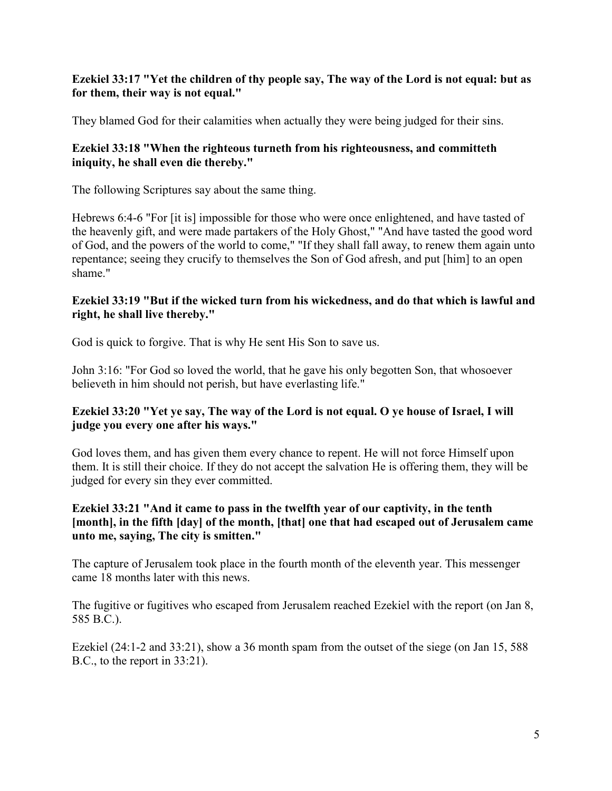## **Ezekiel 33:17 "Yet the children of thy people say, The way of the Lord is not equal: but as for them, their way is not equal."**

They blamed God for their calamities when actually they were being judged for their sins.

#### **Ezekiel 33:18 "When the righteous turneth from his righteousness, and committeth iniquity, he shall even die thereby."**

The following Scriptures say about the same thing.

Hebrews 6:4-6 "For [it is] impossible for those who were once enlightened, and have tasted of the heavenly gift, and were made partakers of the Holy Ghost," "And have tasted the good word of God, and the powers of the world to come," "If they shall fall away, to renew them again unto repentance; seeing they crucify to themselves the Son of God afresh, and put [him] to an open shame."

#### **Ezekiel 33:19 "But if the wicked turn from his wickedness, and do that which is lawful and right, he shall live thereby."**

God is quick to forgive. That is why He sent His Son to save us.

John 3:16: "For God so loved the world, that he gave his only begotten Son, that whosoever believeth in him should not perish, but have everlasting life."

## **Ezekiel 33:20 "Yet ye say, The way of the Lord is not equal. O ye house of Israel, I will judge you every one after his ways."**

God loves them, and has given them every chance to repent. He will not force Himself upon them. It is still their choice. If they do not accept the salvation He is offering them, they will be judged for every sin they ever committed.

## **Ezekiel 33:21 "And it came to pass in the twelfth year of our captivity, in the tenth [month], in the fifth [day] of the month, [that] one that had escaped out of Jerusalem came unto me, saying, The city is smitten."**

The capture of Jerusalem took place in the fourth month of the eleventh year. This messenger came 18 months later with this news.

The fugitive or fugitives who escaped from Jerusalem reached Ezekiel with the report (on Jan 8, 585 B.C.).

Ezekiel (24:1-2 and 33:21), show a 36 month spam from the outset of the siege (on Jan 15, 588) B.C., to the report in 33:21).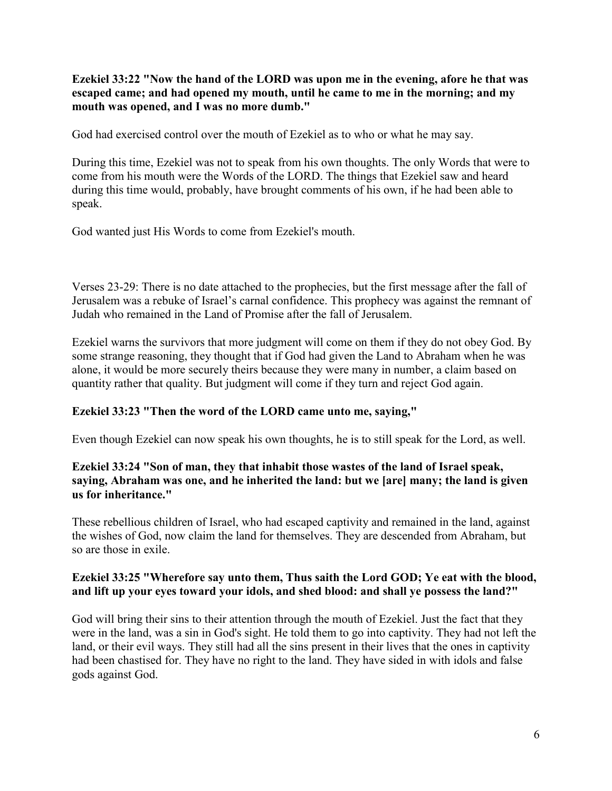**Ezekiel 33:22 "Now the hand of the LORD was upon me in the evening, afore he that was escaped came; and had opened my mouth, until he came to me in the morning; and my mouth was opened, and I was no more dumb."**

God had exercised control over the mouth of Ezekiel as to who or what he may say.

During this time, Ezekiel was not to speak from his own thoughts. The only Words that were to come from his mouth were the Words of the LORD. The things that Ezekiel saw and heard during this time would, probably, have brought comments of his own, if he had been able to speak.

God wanted just His Words to come from Ezekiel's mouth.

Verses 23-29: There is no date attached to the prophecies, but the first message after the fall of Jerusalem was a rebuke of Israel's carnal confidence. This prophecy was against the remnant of Judah who remained in the Land of Promise after the fall of Jerusalem.

Ezekiel warns the survivors that more judgment will come on them if they do not obey God. By some strange reasoning, they thought that if God had given the Land to Abraham when he was alone, it would be more securely theirs because they were many in number, a claim based on quantity rather that quality. But judgment will come if they turn and reject God again.

## **Ezekiel 33:23 "Then the word of the LORD came unto me, saying,"**

Even though Ezekiel can now speak his own thoughts, he is to still speak for the Lord, as well.

#### **Ezekiel 33:24 "Son of man, they that inhabit those wastes of the land of Israel speak, saying, Abraham was one, and he inherited the land: but we [are] many; the land is given us for inheritance."**

These rebellious children of Israel, who had escaped captivity and remained in the land, against the wishes of God, now claim the land for themselves. They are descended from Abraham, but so are those in exile.

## **Ezekiel 33:25 "Wherefore say unto them, Thus saith the Lord GOD; Ye eat with the blood, and lift up your eyes toward your idols, and shed blood: and shall ye possess the land?"**

God will bring their sins to their attention through the mouth of Ezekiel. Just the fact that they were in the land, was a sin in God's sight. He told them to go into captivity. They had not left the land, or their evil ways. They still had all the sins present in their lives that the ones in captivity had been chastised for. They have no right to the land. They have sided in with idols and false gods against God.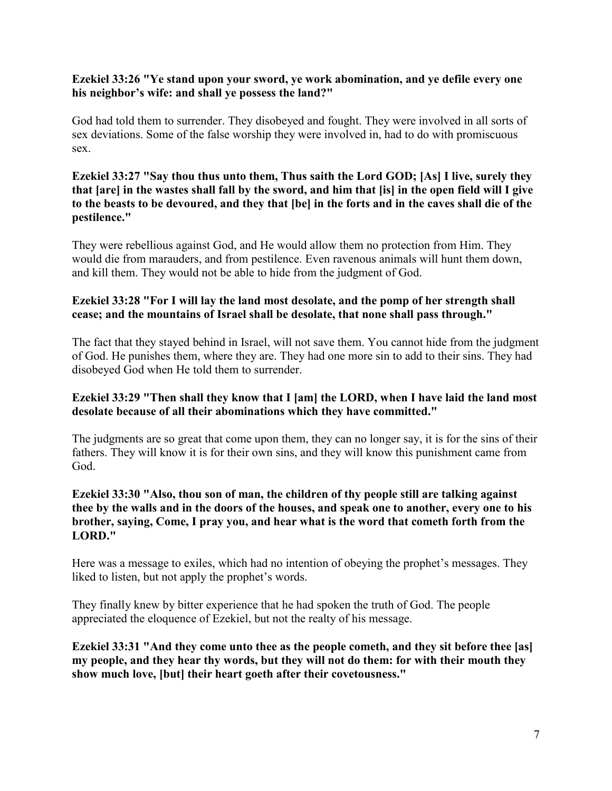#### **Ezekiel 33:26 "Ye stand upon your sword, ye work abomination, and ye defile every one his neighbor's wife: and shall ye possess the land?"**

God had told them to surrender. They disobeyed and fought. They were involved in all sorts of sex deviations. Some of the false worship they were involved in, had to do with promiscuous sex.

#### **Ezekiel 33:27 "Say thou thus unto them, Thus saith the Lord GOD; [As] I live, surely they that [are] in the wastes shall fall by the sword, and him that [is] in the open field will I give to the beasts to be devoured, and they that [be] in the forts and in the caves shall die of the pestilence."**

They were rebellious against God, and He would allow them no protection from Him. They would die from marauders, and from pestilence. Even ravenous animals will hunt them down, and kill them. They would not be able to hide from the judgment of God.

## **Ezekiel 33:28 "For I will lay the land most desolate, and the pomp of her strength shall cease; and the mountains of Israel shall be desolate, that none shall pass through."**

The fact that they stayed behind in Israel, will not save them. You cannot hide from the judgment of God. He punishes them, where they are. They had one more sin to add to their sins. They had disobeyed God when He told them to surrender.

## **Ezekiel 33:29 "Then shall they know that I [am] the LORD, when I have laid the land most desolate because of all their abominations which they have committed."**

The judgments are so great that come upon them, they can no longer say, it is for the sins of their fathers. They will know it is for their own sins, and they will know this punishment came from God.

#### **Ezekiel 33:30 "Also, thou son of man, the children of thy people still are talking against thee by the walls and in the doors of the houses, and speak one to another, every one to his brother, saying, Come, I pray you, and hear what is the word that cometh forth from the LORD."**

Here was a message to exiles, which had no intention of obeying the prophet's messages. They liked to listen, but not apply the prophet's words.

They finally knew by bitter experience that he had spoken the truth of God. The people appreciated the eloquence of Ezekiel, but not the realty of his message.

**Ezekiel 33:31 "And they come unto thee as the people cometh, and they sit before thee [as] my people, and they hear thy words, but they will not do them: for with their mouth they show much love, [but] their heart goeth after their covetousness."**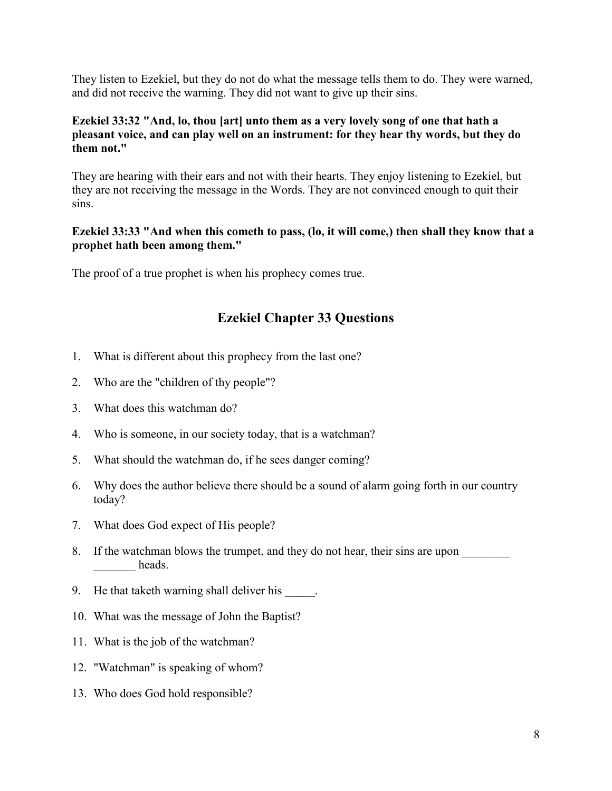They listen to Ezekiel, but they do not do what the message tells them to do. They were warned, and did not receive the warning. They did not want to give up their sins.

## **Ezekiel 33:32 "And, lo, thou [art] unto them as a very lovely song of one that hath a pleasant voice, and can play well on an instrument: for they hear thy words, but they do them not."**

They are hearing with their ears and not with their hearts. They enjoy listening to Ezekiel, but they are not receiving the message in the Words. They are not convinced enough to quit their sins.

#### **Ezekiel 33:33 "And when this cometh to pass, (lo, it will come,) then shall they know that a prophet hath been among them."**

The proof of a true prophet is when his prophecy comes true.

## **Ezekiel Chapter 33 Questions**

- 1. What is different about this prophecy from the last one?
- 2. Who are the "children of thy people"?
- 3. What does this watchman do?
- 4. Who is someone, in our society today, that is a watchman?
- 5. What should the watchman do, if he sees danger coming?
- 6. Why does the author believe there should be a sound of alarm going forth in our country today?
- 7. What does God expect of His people?
- 8. If the watchman blows the trumpet, and they do not hear, their sins are upon heads.
- 9. He that taketh warning shall deliver his  $\qquad \qquad$ .
- 10. What was the message of John the Baptist?
- 11. What is the job of the watchman?
- 12. "Watchman" is speaking of whom?
- 13. Who does God hold responsible?